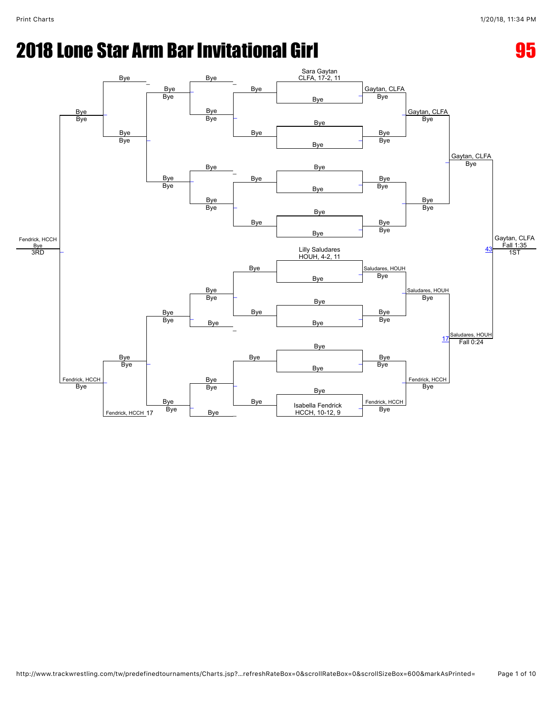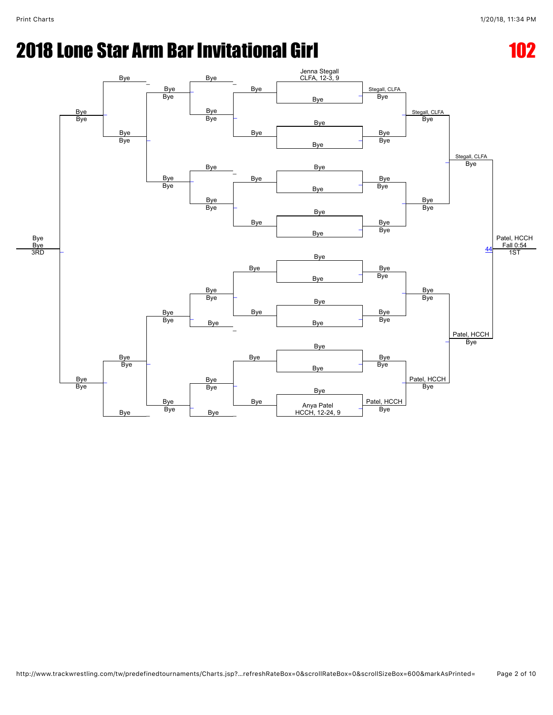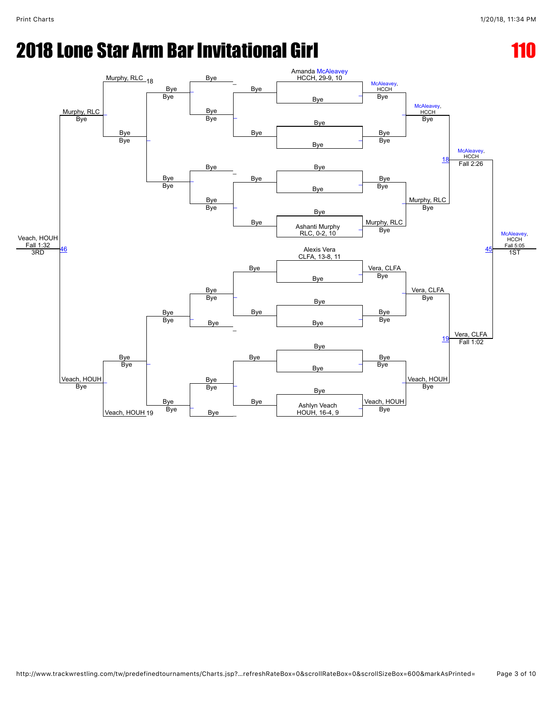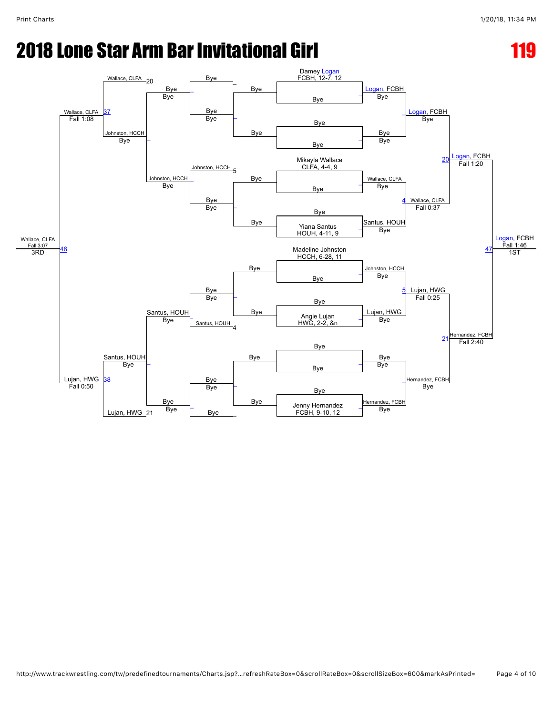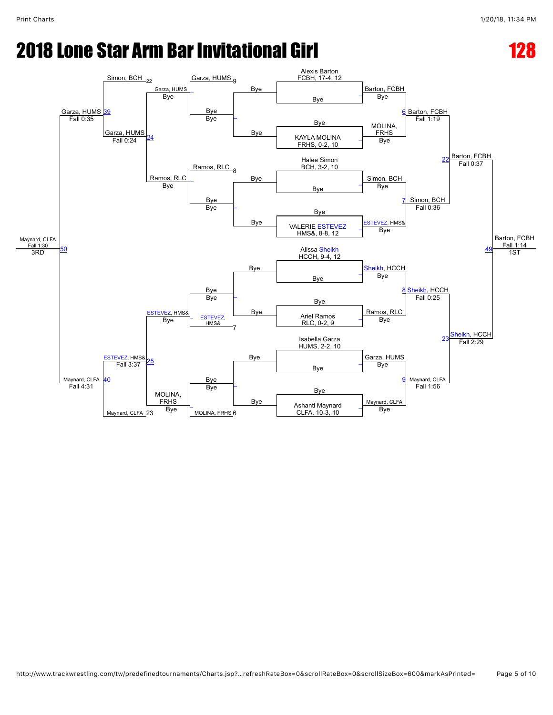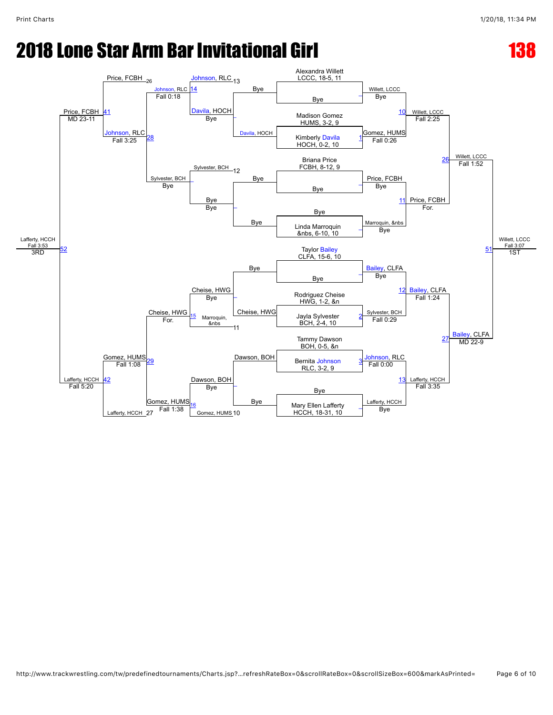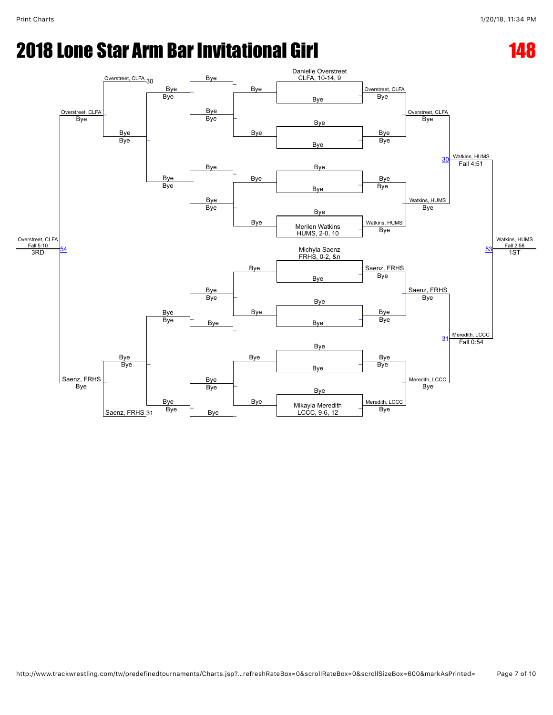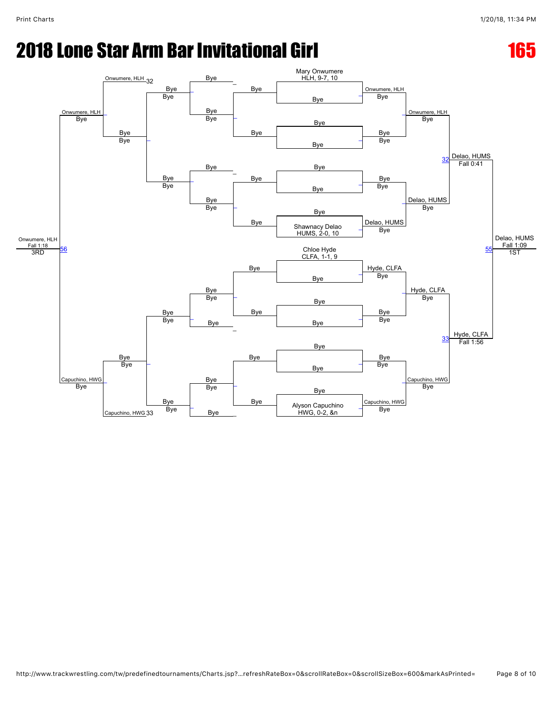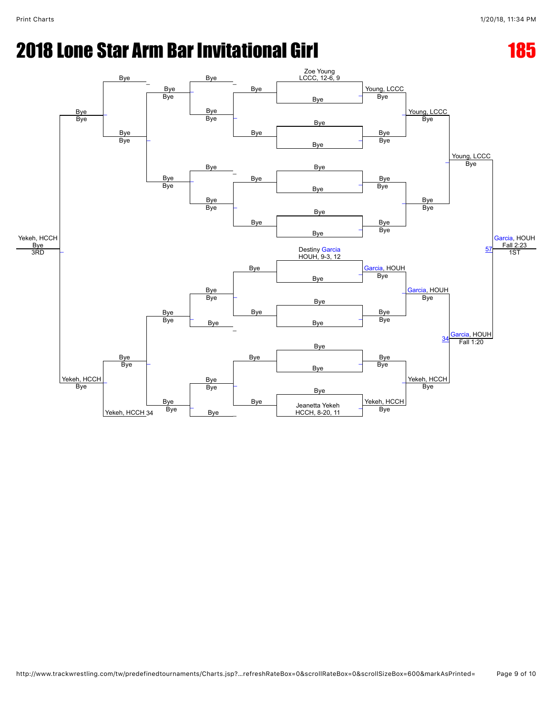